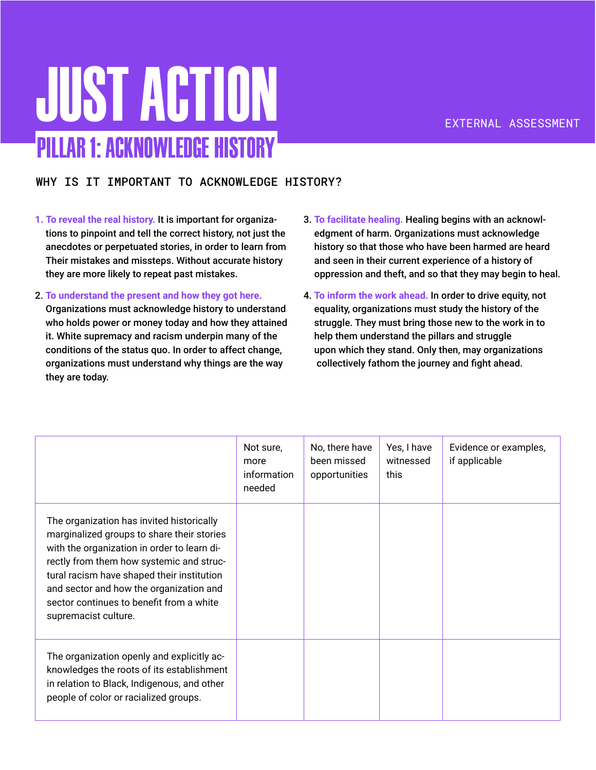## Just Action Pillar 1: Acknowledge History

### WHY IS IT IMPORTANT TO ACKNOWLEDGE HISTORY?

- **1. To reveal the real history.** It is important for organizations to pinpoint and tell the correct history, not just the anecdotes or perpetuated stories, in order to learn from Their mistakes and missteps. Without accurate history they are more likely to repeat past mistakes.
- 2. **To understand the present and how they got here.**

Organizations must acknowledge history to understand who holds power or money today and how they attained it. White supremacy and racism underpin many of the conditions of the status quo. In order to affect change, organizations must understand why things are the way they are today.

- 3. **To facilitate healing.** Healing begins with an acknowledgment of harm. Organizations must acknowledge history so that those who have been harmed are heard and seen in their current experience of a history of oppression and theft, and so that they may begin to heal.
- 4. **To inform the work ahead.** In order to drive equity, not equality, organizations must study the history of the struggle. They must bring those new to the work in to help them understand the pillars and struggle upon which they stand. Only then, may organizations collectively fathom the journey and fight ahead.

|                                                                                                                                                                                                                                                                                                                                                 | Not sure,<br>more<br>information<br>needed | No, there have<br>been missed<br>opportunities | Yes, I have<br>witnessed<br>this | Evidence or examples,<br>if applicable |
|-------------------------------------------------------------------------------------------------------------------------------------------------------------------------------------------------------------------------------------------------------------------------------------------------------------------------------------------------|--------------------------------------------|------------------------------------------------|----------------------------------|----------------------------------------|
| The organization has invited historically<br>marginalized groups to share their stories<br>with the organization in order to learn di-<br>rectly from them how systemic and struc-<br>tural racism have shaped their institution<br>and sector and how the organization and<br>sector continues to benefit from a white<br>supremacist culture. |                                            |                                                |                                  |                                        |
| The organization openly and explicitly ac-<br>knowledges the roots of its establishment<br>in relation to Black, Indigenous, and other<br>people of color or racialized groups.                                                                                                                                                                 |                                            |                                                |                                  |                                        |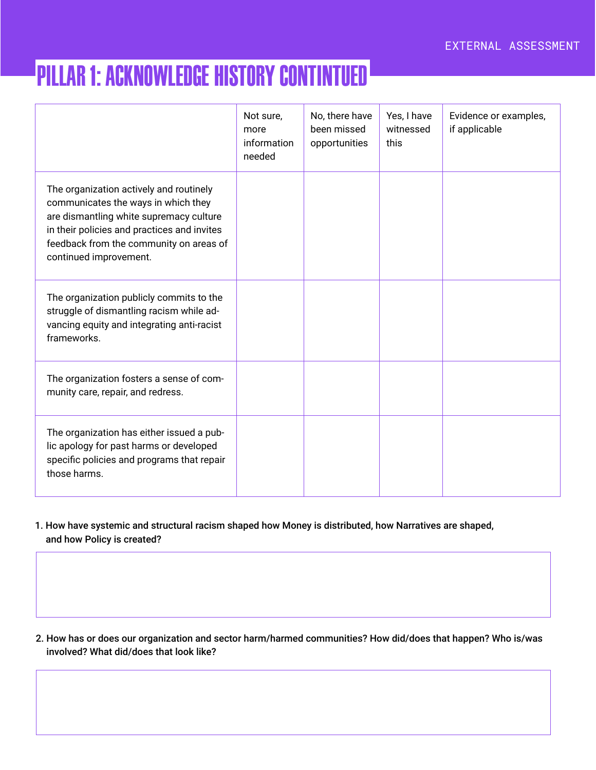### Pillar 1: Acknowledge History Contintued

|                                                                                                                                                                                                                                               | Not sure,<br>more<br>information<br>needed | No, there have<br>been missed<br>opportunities | Yes, I have<br>witnessed<br>this | Evidence or examples,<br>if applicable |
|-----------------------------------------------------------------------------------------------------------------------------------------------------------------------------------------------------------------------------------------------|--------------------------------------------|------------------------------------------------|----------------------------------|----------------------------------------|
| The organization actively and routinely<br>communicates the ways in which they<br>are dismantling white supremacy culture<br>in their policies and practices and invites<br>feedback from the community on areas of<br>continued improvement. |                                            |                                                |                                  |                                        |
| The organization publicly commits to the<br>struggle of dismantling racism while ad-<br>vancing equity and integrating anti-racist<br>frameworks.                                                                                             |                                            |                                                |                                  |                                        |
| The organization fosters a sense of com-<br>munity care, repair, and redress.                                                                                                                                                                 |                                            |                                                |                                  |                                        |
| The organization has either issued a pub-<br>lic apology for past harms or developed<br>specific policies and programs that repair<br>those harms.                                                                                            |                                            |                                                |                                  |                                        |

1. How have systemic and structural racism shaped how Money is distributed, how Narratives are shaped, and how Policy is created?

2. How has or does our organization and sector harm/harmed communities? How did/does that happen? Who is/was involved? What did/does that look like?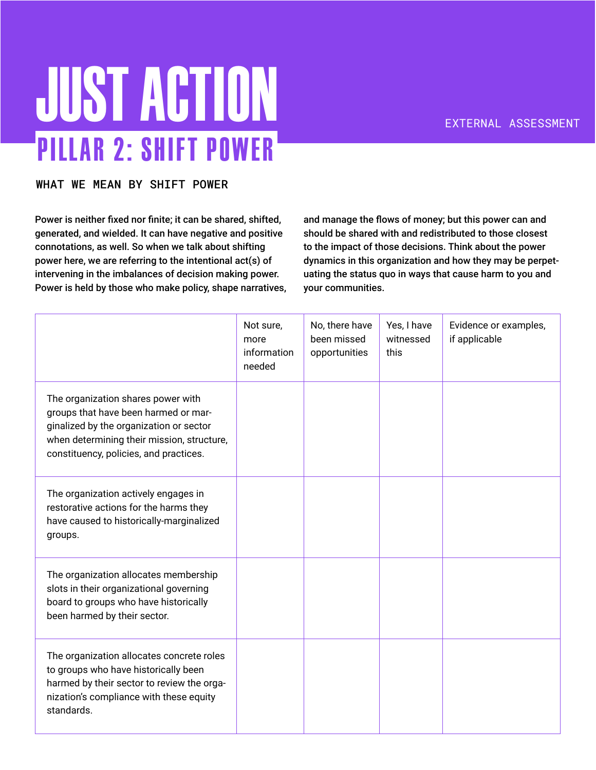# **JUST ACTION** Pillar 2: Shift Power

#### WHAT WE MEAN BY SHIFT POWER

Power is neither fixed nor finite; it can be shared, shifted, generated, and wielded. It can have negative and positive connotations, as well. So when we talk about shifting power here, we are referring to the intentional act(s) of intervening in the imbalances of decision making power. Power is held by those who make policy, shape narratives, and manage the flows of money; but this power can and should be shared with and redistributed to those closest to the impact of those decisions. Think about the power dynamics in this organization and how they may be perpetuating the status quo in ways that cause harm to you and your communities.

|                                                                                                                                                                                                               | Not sure,<br>more<br>information<br>needed | No, there have<br>been missed<br>opportunities | Yes, I have<br>witnessed<br>this | Evidence or examples,<br>if applicable |
|---------------------------------------------------------------------------------------------------------------------------------------------------------------------------------------------------------------|--------------------------------------------|------------------------------------------------|----------------------------------|----------------------------------------|
| The organization shares power with<br>groups that have been harmed or mar-<br>ginalized by the organization or sector<br>when determining their mission, structure,<br>constituency, policies, and practices. |                                            |                                                |                                  |                                        |
| The organization actively engages in<br>restorative actions for the harms they<br>have caused to historically-marginalized<br>groups.                                                                         |                                            |                                                |                                  |                                        |
| The organization allocates membership<br>slots in their organizational governing<br>board to groups who have historically<br>been harmed by their sector.                                                     |                                            |                                                |                                  |                                        |
| The organization allocates concrete roles<br>to groups who have historically been<br>harmed by their sector to review the orga-<br>nization's compliance with these equity<br>standards.                      |                                            |                                                |                                  |                                        |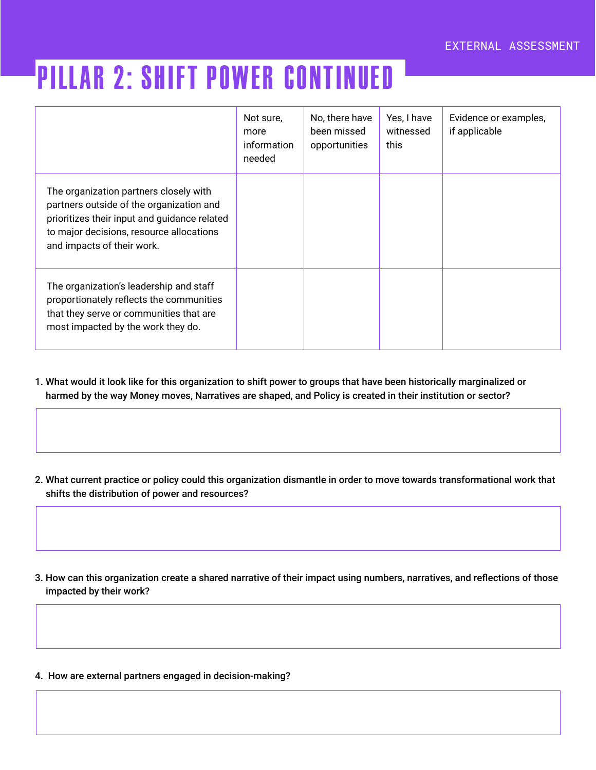### Pillar 2: Shift Power continued

|                                                                                                                                                                                                              | Not sure,<br>more<br>information<br>needed | No, there have<br>been missed<br>opportunities | Yes, I have<br>witnessed<br>this | Evidence or examples,<br>if applicable |
|--------------------------------------------------------------------------------------------------------------------------------------------------------------------------------------------------------------|--------------------------------------------|------------------------------------------------|----------------------------------|----------------------------------------|
| The organization partners closely with<br>partners outside of the organization and<br>prioritizes their input and guidance related<br>to major decisions, resource allocations<br>and impacts of their work. |                                            |                                                |                                  |                                        |
| The organization's leadership and staff<br>proportionately reflects the communities<br>that they serve or communities that are<br>most impacted by the work they do.                                         |                                            |                                                |                                  |                                        |

- 1. What would it look like for this organization to shift power to groups that have been historically marginalized or harmed by the way Money moves, Narratives are shaped, and Policy is created in their institution or sector?
- 2. What current practice or policy could this organization dismantle in order to move towards transformational work that shifts the distribution of power and resources?
- 3. How can this organization create a shared narrative of their impact using numbers, narratives, and reflections of those impacted by their work?
- 4. How are external partners engaged in decision-making?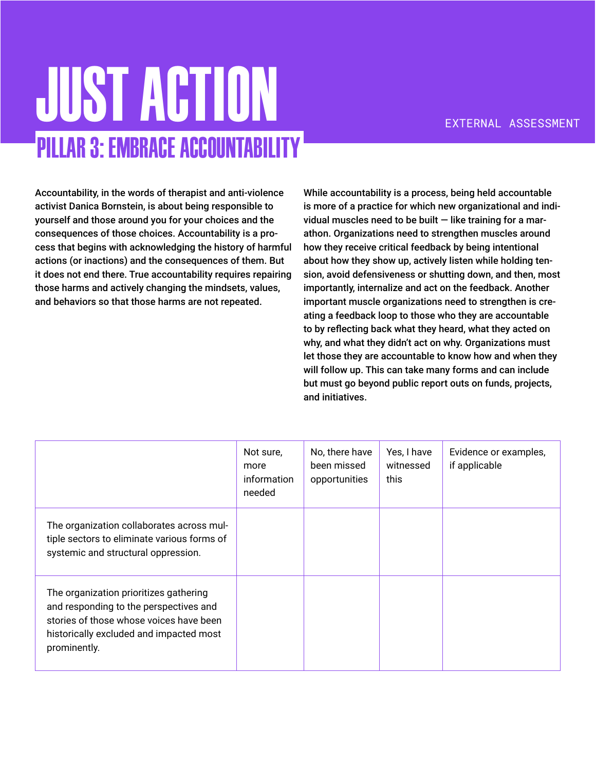## **JUST ACTION** Pillar 3: Embrace Accountability

Accountability, in the words of therapist and anti-violence activist Danica Bornstein, is about being responsible to yourself and those around you for your choices and the consequences of those choices. Accountability is a process that begins with acknowledging the history of harmful actions (or inactions) and the consequences of them. But it does not end there. True accountability requires repairing those harms and actively changing the mindsets, values, and behaviors so that those harms are not repeated.

While accountability is a process, being held accountable is more of a practice for which new organizational and individual muscles need to be built  $-$  like training for a marathon. Organizations need to strengthen muscles around how they receive critical feedback by being intentional about how they show up, actively listen while holding tension, avoid defensiveness or shutting down, and then, most importantly, internalize and act on the feedback. Another important muscle organizations need to strengthen is creating a feedback loop to those who they are accountable to by reflecting back what they heard, what they acted on why, and what they didn't act on why. Organizations must let those they are accountable to know how and when they will follow up. This can take many forms and can include but must go beyond public report outs on funds, projects, and initiatives.

|                                                                                                                                                                                        | Not sure,<br>more<br>information<br>needed | No, there have<br>been missed<br>opportunities | Yes, I have<br>witnessed<br>this | Evidence or examples,<br>if applicable |
|----------------------------------------------------------------------------------------------------------------------------------------------------------------------------------------|--------------------------------------------|------------------------------------------------|----------------------------------|----------------------------------------|
| The organization collaborates across mul-<br>tiple sectors to eliminate various forms of<br>systemic and structural oppression.                                                        |                                            |                                                |                                  |                                        |
| The organization prioritizes gathering<br>and responding to the perspectives and<br>stories of those whose voices have been<br>historically excluded and impacted most<br>prominently. |                                            |                                                |                                  |                                        |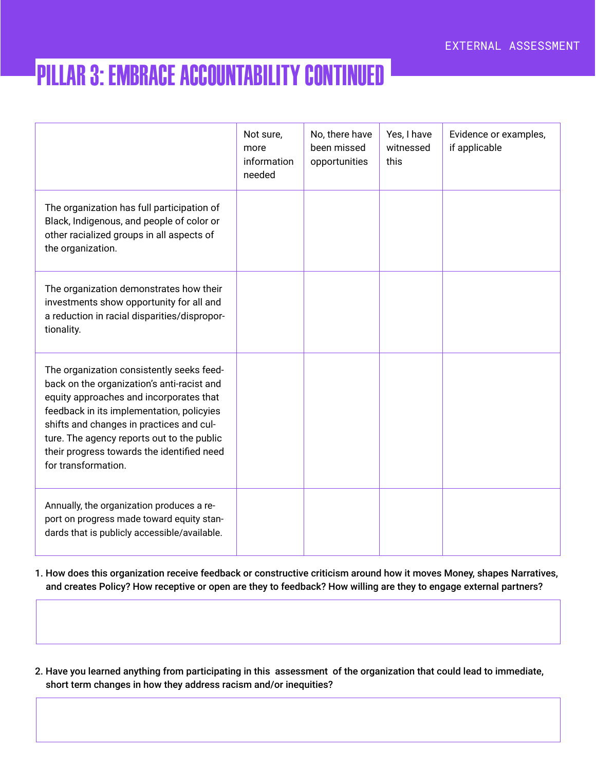### Pillar 3: Embrace Accountability continued

|                                                                                                                                                                                                                                                                                                                                                | Not sure,<br>more<br>information<br>needed | No, there have<br>been missed<br>opportunities | Yes, I have<br>witnessed<br>this | Evidence or examples,<br>if applicable |
|------------------------------------------------------------------------------------------------------------------------------------------------------------------------------------------------------------------------------------------------------------------------------------------------------------------------------------------------|--------------------------------------------|------------------------------------------------|----------------------------------|----------------------------------------|
| The organization has full participation of<br>Black, Indigenous, and people of color or<br>other racialized groups in all aspects of<br>the organization.                                                                                                                                                                                      |                                            |                                                |                                  |                                        |
| The organization demonstrates how their<br>investments show opportunity for all and<br>a reduction in racial disparities/dispropor-<br>tionality.                                                                                                                                                                                              |                                            |                                                |                                  |                                        |
| The organization consistently seeks feed-<br>back on the organization's anti-racist and<br>equity approaches and incorporates that<br>feedback in its implementation, policyies<br>shifts and changes in practices and cul-<br>ture. The agency reports out to the public<br>their progress towards the identified need<br>for transformation. |                                            |                                                |                                  |                                        |
| Annually, the organization produces a re-<br>port on progress made toward equity stan-<br>dards that is publicly accessible/available.                                                                                                                                                                                                         |                                            |                                                |                                  |                                        |

1. How does this organization receive feedback or constructive criticism around how it moves Money, shapes Narratives, and creates Policy? How receptive or open are they to feedback? How willing are they to engage external partners?

2. Have you learned anything from participating in this assessment of the organization that could lead to immediate, short term changes in how they address racism and/or inequities?